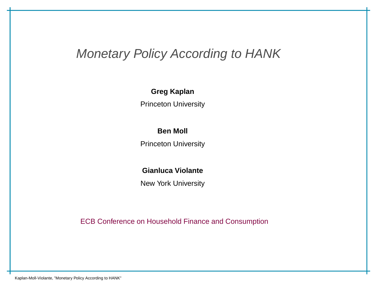# Monetary Policy According to HANK

#### **Greg Kaplan**

Princeton University

#### **Ben Moll**

Princeton University

#### **Gianluca Violante**

New York University

ECB Conference on Household Finance and Consumption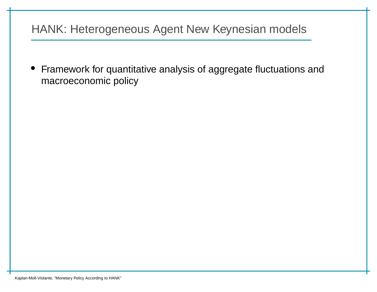# HANK: Heterogeneous Agent New Keynesian models

 $\bullet$  Framework for quantitative analysis of aggregate fluctuations andmacroeconomic policy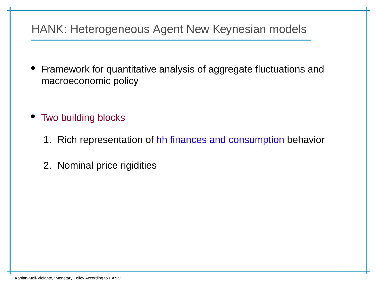# HANK: Heterogeneous Agent New Keynesian models

- • Framework for quantitative analysis of aggregate fluctuations andmacroeconomic policy
- Two building blocks
	- 1. Rich representation of <mark>hh finances and consumption</mark> behavior
	- 2. Nominal price rigidities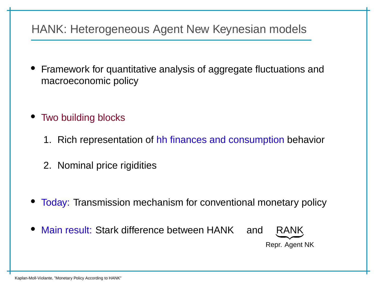# HANK: Heterogeneous Agent New Keynesian models

- • Framework for quantitative analysis of aggregate fluctuations andmacroeconomic policy
- Two building blocks
	- 1. Rich representation of <mark>hh finances and consumption</mark> behavior
	- 2. Nominal price rigidities
- Today: Transmission mechanism for conventional monetary policy
- •Main result: Stark difference between HANK and



Repr. Agent NK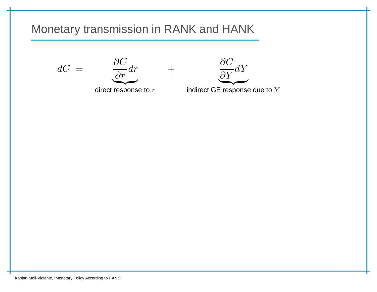$dC$ =





indirect GE response due to  $Y$ 

direct response to  $r$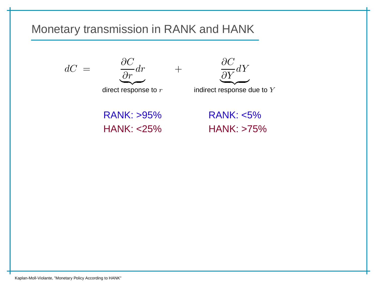$\, + \,$ 





indirect response due to  $Y$ 

RANK: >95% RANK: <5% $HANK: < 25\%$ 

**HANK: >75%** 

Kaplan-Moll-Violante, "Monetary Policy According to HANK"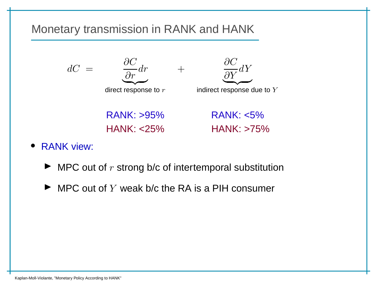

- RANK view:
	- $\blacktriangleright$  MPC out of  $r$  strong b/c of intertemporal substitution
	- $\blacktriangleright$  MPC out of  $Y$  weak b/c the RA is a PIH consumer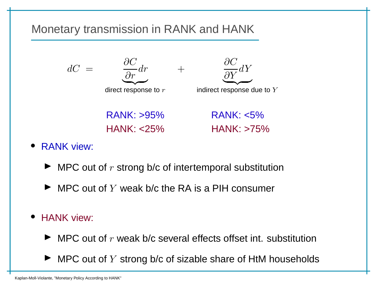

- RANK view:
	- $\blacktriangleright$  MPC out of  $r$  strong b/c of intertemporal substitution
	- $\blacktriangleright$  MPC out of  $Y$  weak b/c the RA is a PIH consumer
- HANK view:
	- $\blacktriangleright$  MPC out of  $r$  weak b/c several effects offset int. substitution
	- $\blacktriangleright$  MPC out of  $Y$  strong b/c of sizable share of HtM households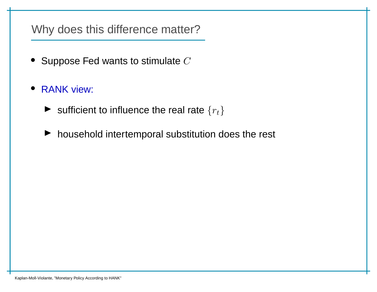Why does this difference matter?

- $\bullet~$  Suppose Fed wants to stimulate  $C$
- RANK view:
	- $\blacktriangleright$  sufficient to influence the real rate  $\{r_t\}$
	- ▶ household intertemporal substitution does the rest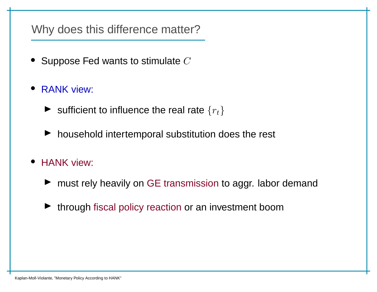Why does this difference matter?

- $\bullet~$  Suppose Fed wants to stimulate  $C$
- RANK view:
	- $\blacktriangleright$  sufficient to influence the real rate  $\{r_t\}$
	- ▶ household intertemporal substitution does the rest
- HANK view:
	- ▶ must rely heavily on GE transmission to aggr. labor demand
	- ▶ through fiscal policy reaction or an investment boom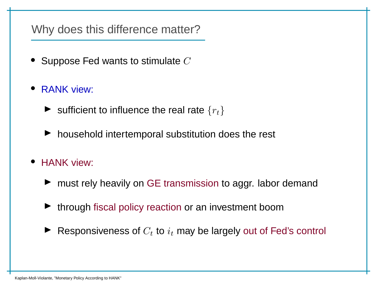#### Why does this difference matter?

- $\bullet~$  Suppose Fed wants to stimulate  $C$
- RANK view:
	- $\blacktriangleright$  sufficient to influence the real rate  $\{r_t\}$
	- ▶ household intertemporal substitution does the rest
- HANK view:
	- ▶ must rely heavily on GE transmission to aggr. labor demand
	- ▶ through fiscal policy reaction or an investment boom
	- $\blacktriangleright$  Responsiveness of  $C_t$  to  $i_t$  may be largely out of Fed's control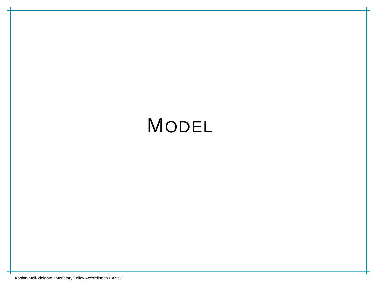# MODEL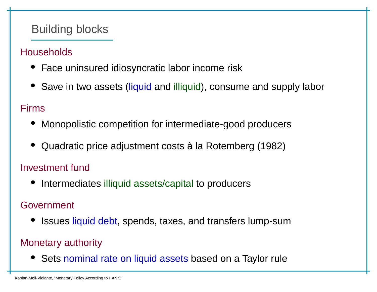# Building blocks

#### **Households**

- Face uninsured idiosyncratic labor income risk
- Save in two assets (liquid and illiquid), consume and supply labor

#### Firms

- Monopolistic competition for intermediate-good producers
- •Quadratic price adjustment costs à la Rotemberg (1982)

#### Investment fund

• Intermediates illiquid assets/capital to producers

#### Government

• Issues liquid debt, spends, taxes, and transfers lump-sum

#### Monetary authority

• Sets nominal rate on liquid assets based on <sup>a</sup> Taylor rule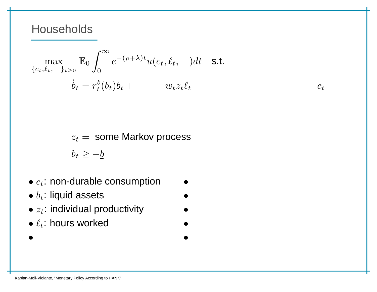$$
\max_{\{c_t, \ell_t, \ \}} \mathbb{E}_0 \int_0^\infty e^{-(\rho + \lambda)t} u(c_t, \ell_t, \ ) dt \quad \text{s.t.}
$$
\n
$$
\dot{b}_t = r_t^b(b_t) b_t + w_t z_t \ell_t \qquad -c_t
$$

 $z_t = \,$  some Markov process

 $b_t \geq -b$ 

- $\bullet$   $c_t$ : non-durable consumption  $\blacksquare$
- $b_t$ : liquid assets  $\bullet$
- $\bullet$   $z_t$ : individual productivity  $\qquad \bullet$
- $\bullet$   $\ell_t$ : hours worked dependent deposits on  $\bullet$
- •<sup>a</sup>t: illiquid assets • <sup>h</sup>t: housing services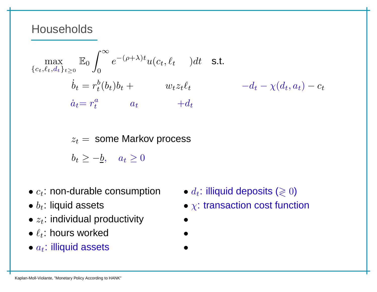$$
\max_{\{c_t, \ell_t, d_t\}_{t \ge 0}} \mathbb{E}_0 \int_0^\infty e^{-(\rho + \lambda)t} u(c_t, \ell_t) dt \quad \text{s.t.}
$$
\n
$$
\dot{b}_t = r_t^b(b_t) b_t + w_t z_t \ell_t \qquad -d_t - \chi(d_t, a_t) - c_t
$$
\n
$$
\dot{a}_t = r_t^a \qquad a_t \qquad +d_t
$$
\n
$$
z_t = \text{some Markov process}
$$

 $b_t \geq -\underline{b}, \quad a_t \geq 0$ 

- $\bullet$   $c_t$ : non-durable consumption
- $\bullet$   $b_t$ : liquid assets
- $\bullet$   $z_t$ : individual productivity  $\qquad \bullet$
- $\bullet$   $\ell_t$ : hours worked
- $a_t$ : illiquid assets **http://**
- **n**  $\bullet$   $d_t$ : illiquid deposits ( $\geqslant 0$ )
	- $\bullet$  x: transaction cost function
	-
- <sup>c</sup>ht : rentals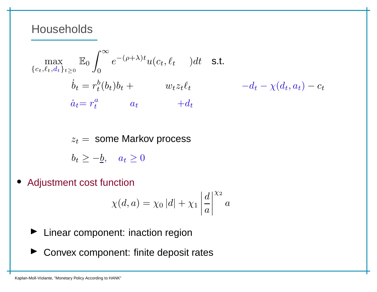$$
\max_{\{c_t, \ell_t, d_t\}_{t \ge 0}} \mathbb{E}_0 \int_0^\infty e^{-(\rho + \lambda)t} u(c_t, \ell_t) dt \quad \text{s.t.}
$$
\n
$$
\dot{b}_t = r_t^b(b_t) b_t + w_t z_t \ell_t \qquad -d_t - \chi(d_t, a_t) - c_t
$$
\n
$$
\dot{a}_t = r_t^a \qquad a_t \qquad +d_t
$$
\n
$$
z_t = \text{some Markov process}
$$
\n
$$
b_t \ge -b, \quad a_t \ge 0
$$

 $\bullet$ Adjustment cost function

$$
\chi(d, a) = \chi_0 |d| + \chi_1 \left| \frac{d}{a} \right|^{\chi_2} a
$$

- ▶ Linear component: inaction region
- ▶ Convex component: finite deposit rates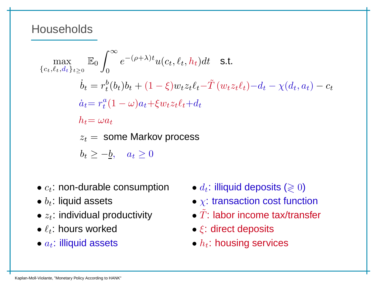$$
\max_{\{c_t, \ell_t, d_t\}_{t\geq 0}} \mathbb{E}_0 \int_0^\infty e^{-(\rho + \lambda)t} u(c_t, \ell_t, h_t) dt \quad \text{s.t.}
$$
\n
$$
\dot{b}_t = r_t^b(b_t) b_t + (1 - \xi) w_t z_t \ell_t - \tilde{T} (w_t z_t \ell_t) - d_t - \chi(d_t, a_t) - c_t
$$
\n
$$
\dot{a}_t = r_t^a (1 - \omega) a_t + \xi w_t z_t \ell_t + d_t
$$
\n
$$
h_t = \omega a_t
$$
\n
$$
z_t = \text{some Markov process}
$$
\n
$$
b_t \geq -\underline{b}, \quad a_t \geq 0
$$

- $\bullet$   $c_t$ : non-durable consumption
- $\bullet$   $b_t$ : liquid assets
- $z_t$ : individual productivity
- $\bullet$   $\ell_t$ : hours worked
- $\bullet$   $a_t$ : illiquid assets
- $\bullet \ \ d_t$ : illiquid deposits ( $\gtrless 0$ )
	- $\bullet$  x: transaction cost function
- $z_t$ : individual productivity  $\qquad \qquad \bullet \ \tilde{T}$ : labor income tax/transfer
	- $\bullet$   $\xi$ : direct deposits
	- $\bullet$   $h_t$ : housing services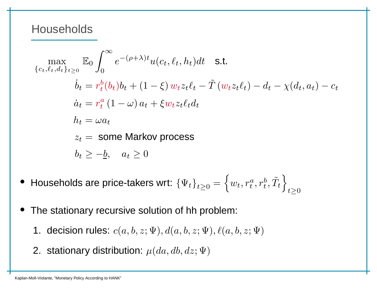$$
\max_{\{c_t, \ell_t, d_t\}_{t\geq 0}} \mathbb{E}_0 \int_0^\infty e^{-(\rho + \lambda)t} u(c_t, \ell_t, h_t) dt \quad \text{s.t.}
$$
\n
$$
\dot{b}_t = r_t^b(b_t) b_t + (1 - \xi) w_t z_t \ell_t - \tilde{T} (w_t z_t \ell_t) - d_t - \chi(d_t, a_t) - c_t
$$
\n
$$
\dot{a}_t = r_t^a (1 - \omega) a_t + \xi w_t z_t \ell_t d_t
$$
\n
$$
h_t = \omega a_t
$$
\n
$$
z_t = \text{some Markov process}
$$
\n
$$
b_t \geq -\underline{b}, \quad a_t \geq 0
$$

- • $\bullet~$  Households are price-takers wrt:  $\left\{\Psi_t\right\}_{t\geq0}=\left\{w_t, r^a_t, r^b_t, \tilde{T}_t\right\}_{t\geq0}$
- • The stationary recursive solution of hh problem:
	- 1. decision rules:  $c(a, b, z; \Psi), d(a, b, z; \Psi), \ell(a, b, z; \Psi)$
	- 2. stationary distribution:  $\mu(da, db, dz; \Psi)$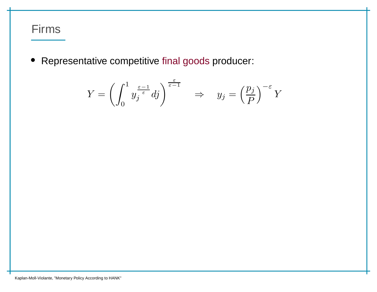### Firms

• Representative competitive final goods producer:

$$
Y = \left(\int_0^1 y_j^{\frac{\varepsilon-1}{\varepsilon}} dj\right)^{\frac{\varepsilon}{\varepsilon-1}} \quad \Rightarrow \quad y_j = \left(\frac{p_j}{P}\right)^{-\varepsilon} Y
$$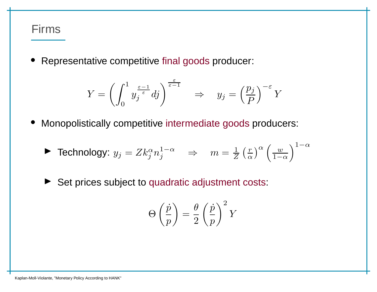#### Firms

•Representative competitive final goods producer:

$$
Y = \left(\int_0^1 y_j^{\frac{\varepsilon-1}{\varepsilon}} dj\right)^{\frac{\varepsilon}{\varepsilon-1}} \quad \Rightarrow \quad y_j = \left(\frac{p_j}{P}\right)^{-\varepsilon} Y
$$

•Monopolistically competitive intermediate goods producers:

$$
\blacktriangleright \text{ Technology: } y_j = Z k_j^{\alpha} n_j^{1-\alpha} \quad \Rightarrow \quad m = \frac{1}{Z} \left(\frac{r}{\alpha}\right)^{\alpha} \left(\frac{w}{1-\alpha}\right)^{1-\alpha}
$$

 $\blacktriangleright$ Set prices subject to quadratic adjustment costs:

$$
\Theta\left(\frac{\dot{p}}{p}\right) = \frac{\theta}{2}\left(\frac{\dot{p}}{p}\right)^2 Y
$$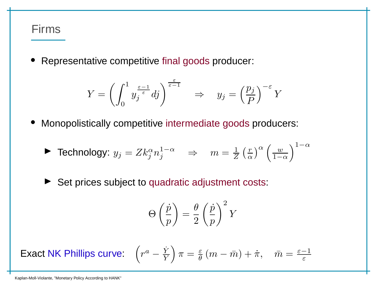#### Firms

•Representative competitive final goods producer:

$$
Y = \left(\int_0^1 y_j^{\frac{\varepsilon-1}{\varepsilon}} dj\right)^{\frac{\varepsilon}{\varepsilon-1}} \quad \Rightarrow \quad y_j = \left(\frac{p_j}{P}\right)^{-\varepsilon} Y
$$

•Monopolistically competitive intermediate goods producers:

$$
\blacktriangleright \text{ Technology: } y_j = Z k_j^{\alpha} n_j^{1-\alpha} \quad \Rightarrow \quad m = \frac{1}{Z} \left(\frac{r}{\alpha}\right)^{\alpha} \left(\frac{w}{1-\alpha}\right)^{1-\alpha}
$$

▶ Set prices subject to quadratic adjustment costs:

$$
\Theta\left(\frac{\dot{p}}{p}\right) = \frac{\theta}{2}\left(\frac{\dot{p}}{p}\right)^2 Y
$$

Exactt NK Phillips curve:  $\left(r^a-\frac{\dot{Y}}{Y}\right)\pi=\frac{\varepsilon}{\theta}\left(m-\bar{m}\right)+\dot{\pi},\quad \bar{m}=\frac{\varepsilon-1}{\varepsilon}$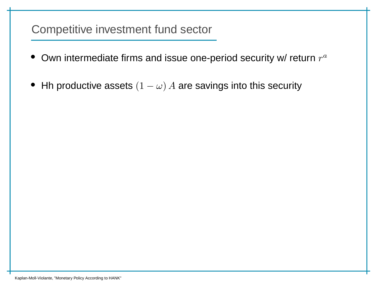- $\bullet~$  Own intermediate firms and issue one-period security w/ return  $r^a$
- $\bullet\;$  Hh productive assets  $(1\;$  $\omega)$   $A$  are savings into this security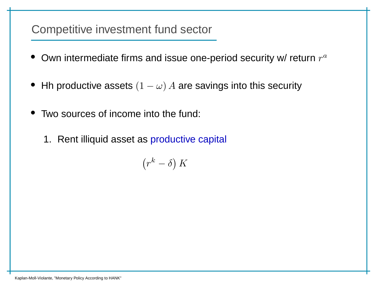- $\bullet~$  Own intermediate firms and issue one-period security w/ return  $r^a$
- $\bullet\;$  Hh productive assets  $(1\;$  $\omega)$   $A$  are savings into this security
- $\bullet$  Two sources of income into the fund:
	- 1. Rent illiquid asset as productive capital

$$
\left(r^k-\delta\right)K
$$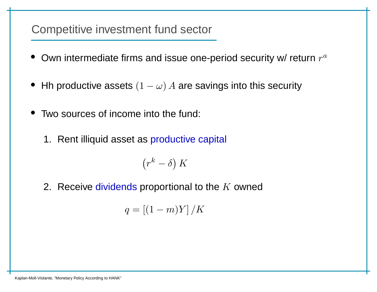- $\bullet~$  Own intermediate firms and issue one-period security w/ return  $r^a$
- $\bullet\;$  Hh productive assets  $(1\;$  $\omega)$   $A$  are savings into this security
- $\bullet$  Two sources of income into the fund:
	- 1. Rent illiquid asset as productive capital

 $\Big( r$  $\boldsymbol{k}$  $\left( \begin{array}{c} k-\delta \end{array} \right) K$ 

2. Receive dividends proportional to the  $K$  owned

$$
q=\left[(1-m)Y\right]/K
$$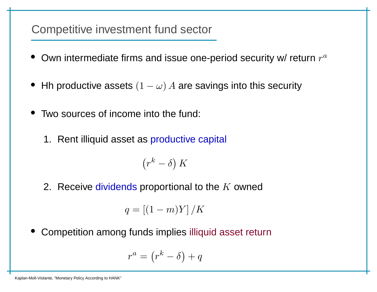- $\bullet~$  Own intermediate firms and issue one-period security w/ return  $r^a$
- $\bullet\;$  Hh productive assets  $(1\;$  $\omega)$   $A$  are savings into this security
- • Two sources of income into the fund:
	- 1. Rent illiquid asset as productive capital

 $\Big( r$  $\boldsymbol{k}$  $\left( \begin{array}{c} k-\delta \end{array} \right) K$ 

2. Receive dividends proportional to the  $K$  owned

 $q=[(1$  $-$  m)Y]  $/K$ 

• Competition among funds implies illiquid asset return

$$
r^a = \left(r^k - \delta\right) + q
$$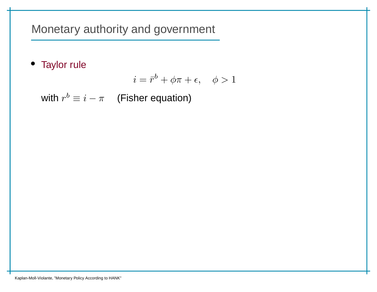Monetary authority and government

• Taylor rule

$$
i = \bar{r}^b + \phi \pi + \epsilon, \quad \phi > 1
$$

with  $r^b$  $\theta \equiv i-\pi$  (Fisher equation)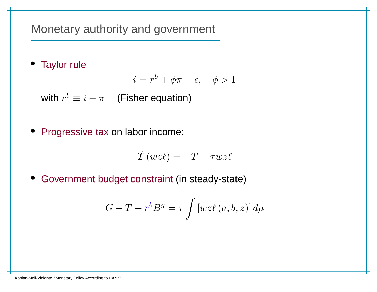Monetary authority and government

• Taylor rule

$$
i = \bar{r}^b + \phi \pi + \epsilon, \quad \phi > 1
$$

with  $r^b$  $\theta \equiv i-\pi$  (Fisher equation)

• Progressive tax on labor income:

$$
\tilde{T}(wz\ell) = -T + \tau w z \ell
$$

• Government budget constraint (in steady-state)

$$
G+T+r^bB^g=\tau\int\left[wz\ell\left(a,b,z\right)\right]d\mu
$$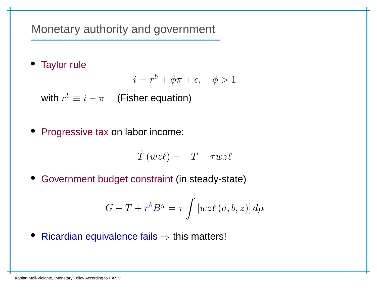Monetary authority and government

• Taylor rule

$$
i = \bar{r}^b + \phi \pi + \epsilon, \quad \phi > 1
$$

with  $r^b$  $\theta \equiv i-\pi$  (Fisher equation)

• Progressive tax on labor income:

$$
\tilde{T}(wz\ell) = -T + \tau w z \ell
$$

• Government budget constraint (in steady-state)

$$
G+T+r^bB^g=\tau\int\left[wz\ell\left(a,b,z\right)\right]d\mu
$$

• Ricardian equivalence fails⇒ this matters!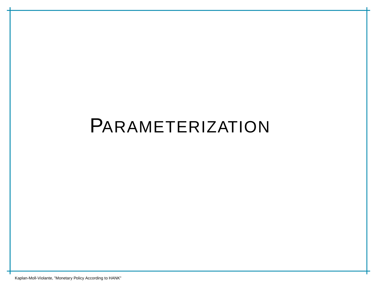# PARAMETERIZATION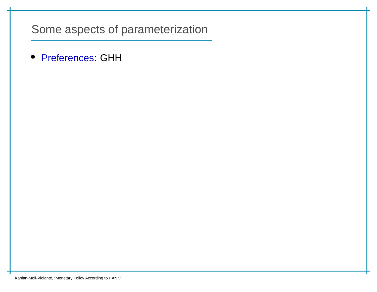• Preferences: GHH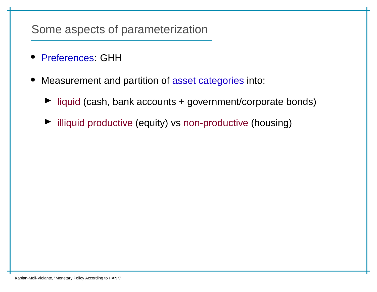- Preferences: GHH
- • Measurement and partition of asset categories into:
	- ▶ liquid (cash, bank accounts + government/corporate bonds)
	- ▶ illiquid productive (equity) vs non-productive (housing)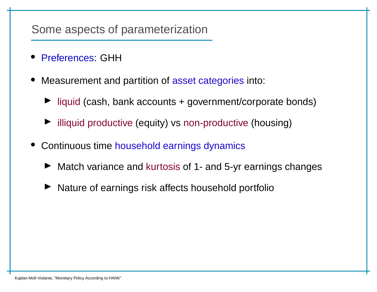- •Preferences: GHH
- • Measurement and partition of asset categories into:
	- ▶ liquid (cash, bank accounts + government/corporate bonds)
	- ▶ illiquid productive (equity) vs non-productive (housing)
- • Continuous time household earnings dynamics
	- ▶ Match variance and kurtosis of 1- and 5-yr earnings changes
	- ◮Nature of earnings risk affects household portfolio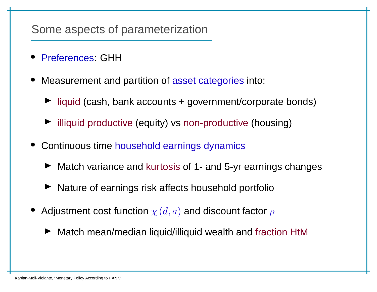- Preferences: GHH
- • Measurement and partition of asset categories into:
	- ▶ liquid (cash, bank accounts + government/corporate bonds)
	- ▶ illiquid productive (equity) vs non-productive (housing)
- • Continuous time household earnings dynamics
	- ▶ Match variance and kurtosis of 1- and 5-yr earnings changes
	- ▶ Nature of earnings risk affects household portfolio
- $\bullet~$  Adjustment cost function  $\chi\left( d,a\right)$  and discount factor  $\rho$ 
	- ◮Match mean/median liquid/illiquid wealth and fraction HtM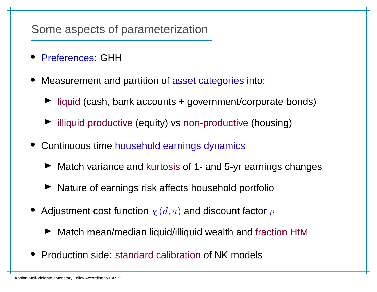- Preferences: GHH
- Measurement and partition of asset categories into:
	- ▶ liquid (cash, bank accounts + government/corporate bonds)
	- ▶ illiquid productive (equity) vs non-productive (housing)
- • Continuous time household earnings dynamics
	- ▶ Match variance and kurtosis of 1- and 5-yr earnings changes
	- ▶ Nature of earnings risk affects household portfolio
- $\bullet~$  Adjustment cost function  $\chi\left( d,a\right)$  and discount factor  $\rho$ 
	- ▶ Match mean/median liquid/illiquid wealth and fraction HtM
- Production side: standard calibration of NK models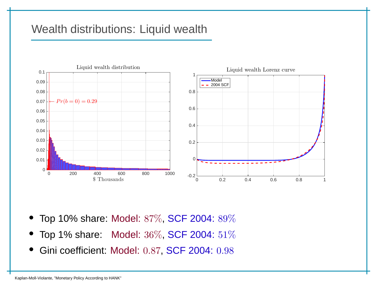# Wealth distributions: Liquid wealth



- •Top 10% share: Model: 87%, SCF 2004: 89%
- Top 1% share: Model:  $36\%$ , SCF 2004:  $51\%$ •
- Gini coefficient: Model: 0.87, SCF 2004: 0.98•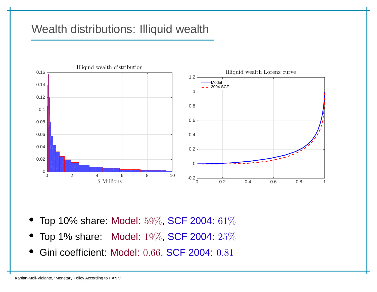# Wealth distributions: Illiquid wealth



- Top 10% share: Model:  $59\%$ , SCF 2004:  $61\%$
- Top 1% share: Model:  $19\%$ , SCF 2004:  $25\%$ •
- Gini coefficient: Model: 0.66, SCF 2004: 0.81  $\bullet$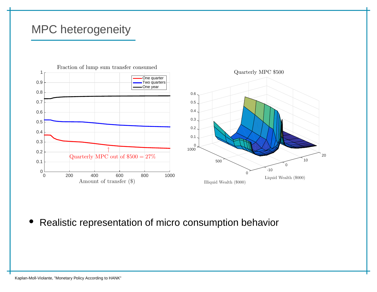#### MPC heterogeneity



 $\bullet$ Realistic representation of micro consumption behavior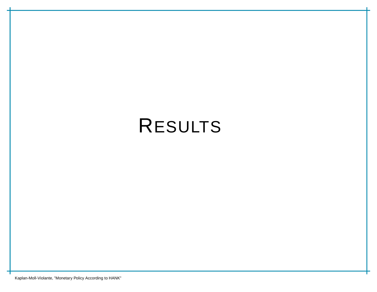# RESULTS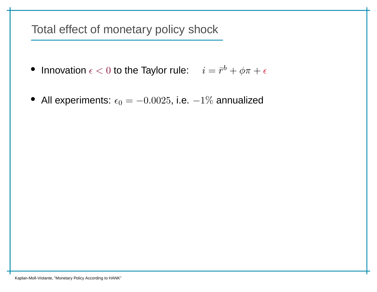Total effect of monetary policy shock

- Innovation  $\epsilon < 0$  to the Taylor rule:  $i = \bar{r}^b$  $\phi + \phi \pi + \epsilon$
- $\bullet\,$  All experiments:  $\epsilon_0= 0.0025$ , i.e.  $-1\%$  annualized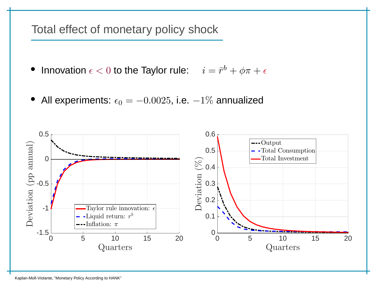Total effect of monetary policy shock

- $\bullet$ • Innovation  $\epsilon < 0$  to the Taylor rule:  $i = \bar{r}^b$  $\phi + \phi \pi + \epsilon$
- $\bullet$  $\bullet\,$  All experiments:  $\epsilon_0= 0.0025$ , i.e.  $-1\%$  annualized

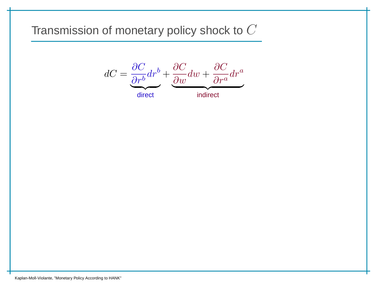$$
dC = \underbrace{\frac{\partial C}{\partial r^b}}_{w} dr^b + \underbrace{\frac{\partial C}{\partial w}}_{w} dw + \underbrace{\frac{\partial C}{\partial r^a}}_{w} dr^a
$$

direct

indirect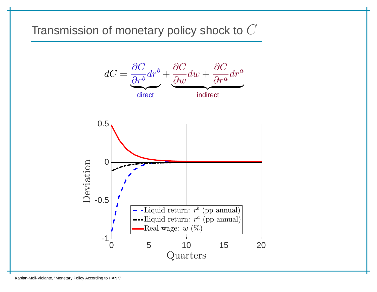



Kaplan-Moll-Violante, "Monetary Policy According to HANK"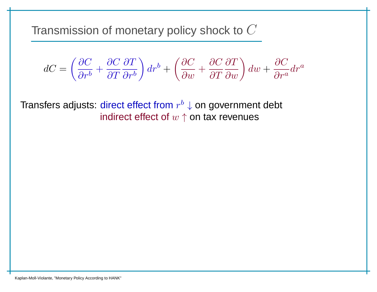$$
dC = \left(\frac{\partial C}{\partial r^b} + \frac{\partial C}{\partial T}\frac{\partial T}{\partial r^b}\right)dr^b + \left(\frac{\partial C}{\partial w} + \frac{\partial C}{\partial T}\frac{\partial T}{\partial w}\right)dw + \frac{\partial C}{\partial r^a}dr^a
$$

Transfers adjusts: direct effect from  $r^b$ indirect effect of  $w \uparrow$  on tax revenues  $^b\downarrow$  on government debt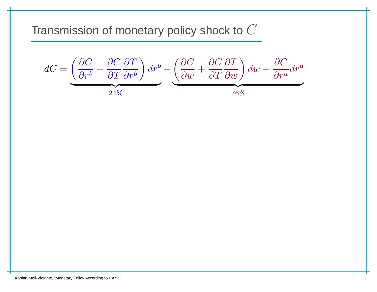$$
dC = \underbrace{\left(\frac{\partial C}{\partial r^b} + \frac{\partial C}{\partial T} \frac{\partial T}{\partial r^b}\right) dr^b}_{24\%} + \underbrace{\left(\frac{\partial C}{\partial w} + \frac{\partial C}{\partial T} \frac{\partial T}{\partial w}\right)}_{76\%} dw + \frac{\partial C}{\partial r^a} dr^a
$$

Kaplan-Moll-Violante, "Monetary Policy According to HANK"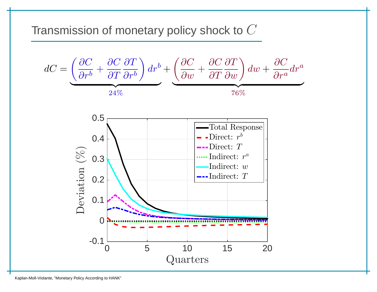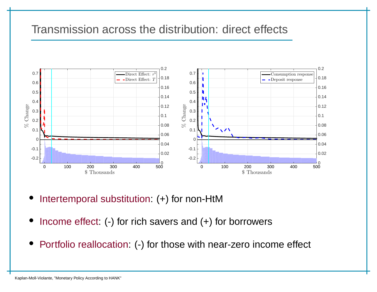#### Transmission across the distribution: direct effects



- •Intertemporal substitution: (+) for non-HtM
- •Income effect: (-) for rich savers and (+) for borrowers
- •Portfolio reallocation: (-) for those with near-zero income effect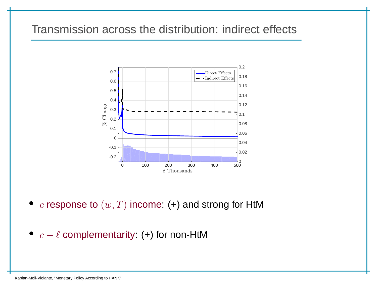# Transmission across the distribution: indirect effects



- $\bullet$  $c$  response to  $(w, T)$  income: (+) and strong for HtM
- $c-\ell$  complementarity: (+) for non-HtM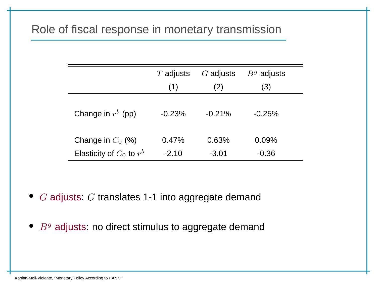## Role of fiscal response in monetary transmission

|                              | $T$ adjusts | $G$ adjusts | $Bg$ adjusts |
|------------------------------|-------------|-------------|--------------|
|                              | (1)         | (2)         | (3)          |
| Change in $r^b$ (pp)         | $-0.23%$    | $-0.21%$    | $-0.25%$     |
| Change in $C_0$ (%)          | 0.47%       | 0.63%       | 0.09%        |
| Elasticity of $C_0$ to $r^b$ | $-2.10$     | $-3.01$     | $-0.36$      |

- $\bullet$   $\,G$  adjusts:  $G$  translates 1-1 into aggregate demand
- $\bullet$   $\ B^g$  adjusts: no direct stimulus to aggregate demand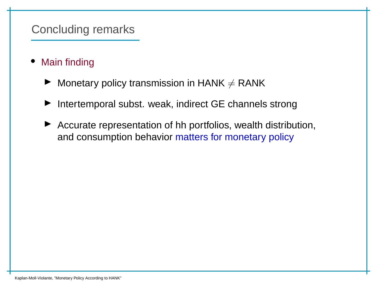### Concluding remarks

- • Main finding
	- $\blacktriangleright$  $\blacktriangleright$  Monetary policy transmission in HANK  $\neq$  RANK
	- ◮Intertemporal subst. weak, indirect GE channels strong
	- $\blacktriangleright$  Accurate representation of hh portfolios, wealth distribution, and consumption behavior matters for monetary policy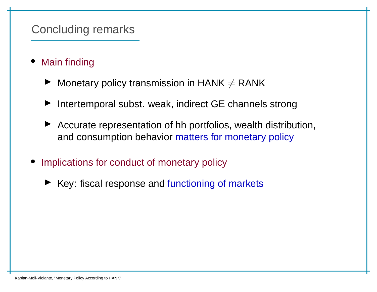#### Concluding remarks

- • Main finding
	- $\blacktriangleright$  Monetary policy transmission in HANK  $\neq$  RANK
	- ◮Intertemporal subst. weak, indirect GE channels strong
	- ◮ Accurate representation of hh portfolios, wealth distribution, and consumption behavior matters for monetary policy
- Implications for conduct of monetary policy
	- ▶ Key: fiscal response and functioning of markets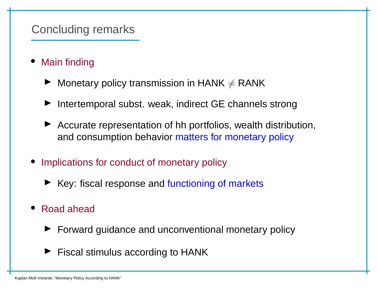#### Concluding remarks

- • Main finding
	- $\blacktriangleright$  Monetary policy transmission in HANK  $\neq$  RANK
	- ◮Intertemporal subst. weak, indirect GE channels strong
	- ▶ Accurate representation of hh portfolios, wealth distribution, and consumption behavior matters for monetary policy
- Implications for conduct of monetary policy
	- ▶ Key: fiscal response and functioning of markets
- Road ahead
	- ▶ Forward guidance and unconventional monetary policy
	- $\blacktriangleright$  Fiscal stimulus according to HANK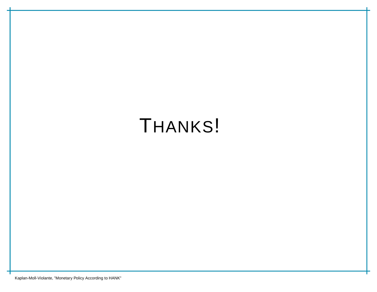# THANKS!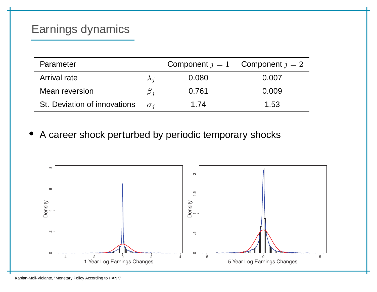# Earnings dynamics

| Parameter                    |             |       | Component $j = 1$ Component $j = 2$ |
|------------------------------|-------------|-------|-------------------------------------|
| Arrival rate                 | $\lambda_i$ | 0.080 | 0.007                               |
| Mean reversion               | $\beta_i$   | 0.761 | 0.009                               |
| St. Deviation of innovations | $\sigma_i$  | 1.74  | 1.53                                |

•A career shock perturbed by periodic temporary shocks